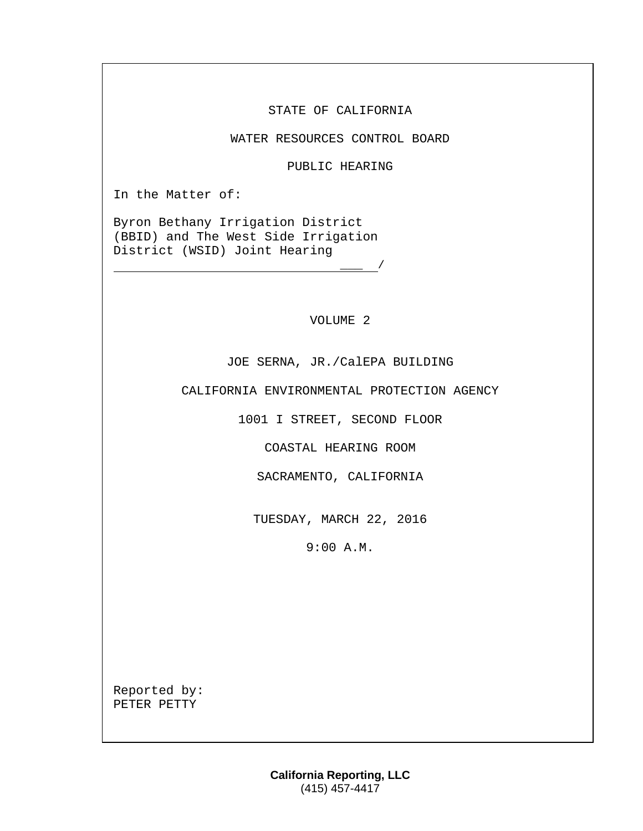STATE OF CALIFORNIA

WATER RESOURCES CONTROL BOARD

PUBLIC HEARING

In the Matter of:

Byron Bethany Irrigation District (BBID) and The West Side Irrigation District (WSID) Joint Hearing

VOLUME 2

 $\frac{\ }{\ }$  /

JOE SERNA, JR./CalEPA BUILDING

CALIFORNIA ENVIRONMENTAL PROTECTION AGENCY

1001 I STREET, SECOND FLOOR

COASTAL HEARING ROOM

SACRAMENTO, CALIFORNIA

TUESDAY, MARCH 22, 2016

9:00 A.M.

Reported by: PETER PETTY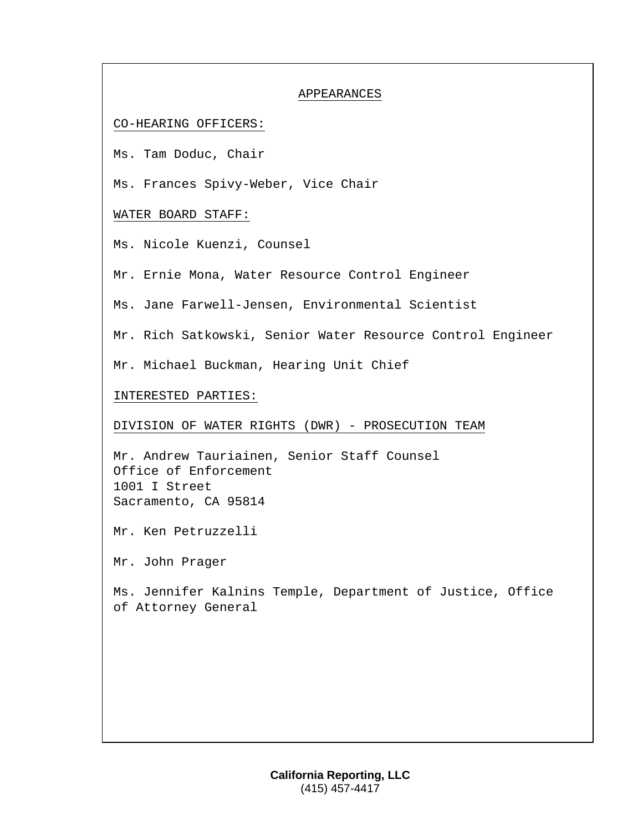### APPEARANCES

## CO-HEARING OFFICERS:

Ms. Tam Doduc, Chair

Ms. Frances Spivy-Weber, Vice Chair

# WATER BOARD STAFF:

Ms. Nicole Kuenzi, Counsel

Mr. Ernie Mona, Water Resource Control Engineer

Ms. Jane Farwell-Jensen, Environmental Scientist

Mr. Rich Satkowski, Senior Water Resource Control Engineer

Mr. Michael Buckman, Hearing Unit Chief

## INTERESTED PARTIES:

DIVISION OF WATER RIGHTS (DWR) - PROSECUTION TEAM

Mr. Andrew Tauriainen, Senior Staff Counsel Office of Enforcement 1001 I Street Sacramento, CA 95814

Mr. Ken Petruzzelli

Mr. John Prager

Ms. Jennifer Kalnins Temple, Department of Justice, Office of Attorney General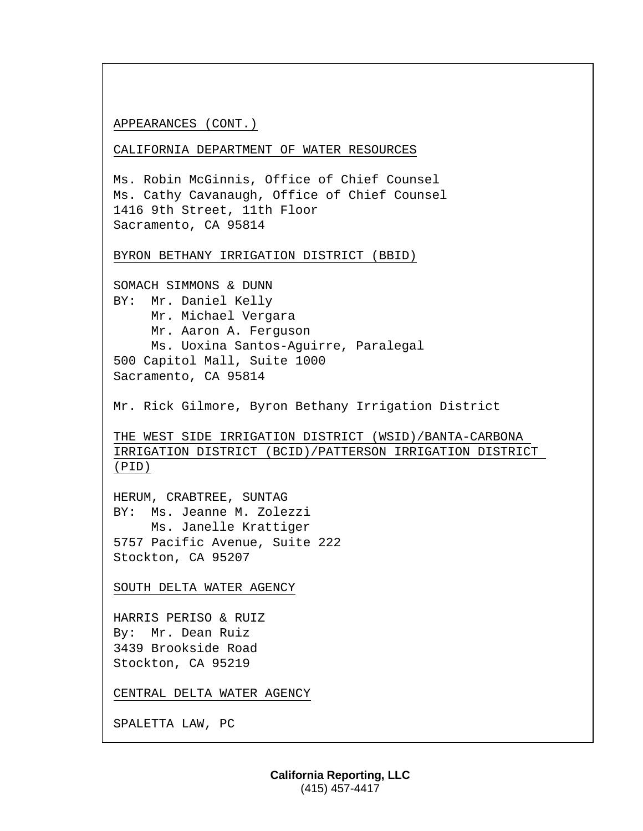### APPEARANCES (CONT.)

CALIFORNIA DEPARTMENT OF WATER RESOURCES

```
Ms. Robin McGinnis, Office of Chief Counsel
Ms. Cathy Cavanaugh, Office of Chief Counsel
1416 9th Street, 11th Floor
Sacramento, CA 95814
```
#### BYRON BETHANY IRRIGATION DISTRICT (BBID)

SOMACH SIMMONS & DUNN BY: Mr. Daniel Kelly Mr. Michael Vergara Mr. Aaron A. Ferguson Ms. Uoxina Santos-Aguirre, Paralegal 500 Capitol Mall, Suite 1000 Sacramento, CA 95814

Mr. Rick Gilmore, Byron Bethany Irrigation District

THE WEST SIDE IRRIGATION DISTRICT (WSID)/BANTA-CARBONA IRRIGATION DISTRICT (BCID)/PATTERSON IRRIGATION DISTRICT (PID)

HERUM, CRABTREE, SUNTAG BY: Ms. Jeanne M. Zolezzi Ms. Janelle Krattiger 5757 Pacific Avenue, Suite 222 Stockton, CA 95207

SOUTH DELTA WATER AGENCY

HARRIS PERISO & RUIZ By: Mr. Dean Ruiz 3439 Brookside Road Stockton, CA 95219

CENTRAL DELTA WATER AGENCY

SPALETTA LAW, PC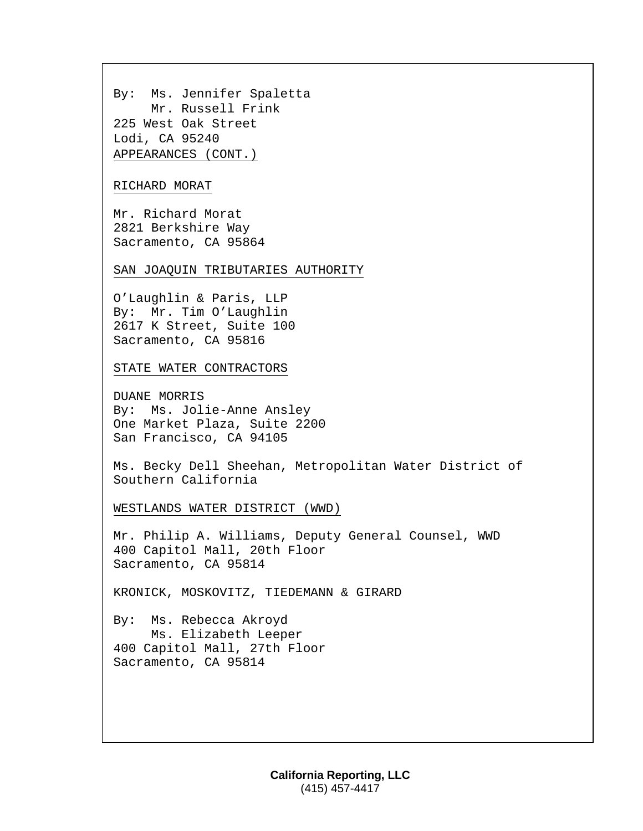By: Ms. Jennifer Spaletta Mr. Russell Frink 225 West Oak Street Lodi, CA 95240 APPEARANCES (CONT.)

### RICHARD MORAT

Mr. Richard Morat 2821 Berkshire Way Sacramento, CA 95864

SAN JOAQUIN TRIBUTARIES AUTHORITY

O'Laughlin & Paris, LLP By: Mr. Tim O'Laughlin 2617 K Street, Suite 100 Sacramento, CA 95816

STATE WATER CONTRACTORS

DUANE MORRIS By: Ms. Jolie-Anne Ansley One Market Plaza, Suite 2200 San Francisco, CA 94105

Ms. Becky Dell Sheehan, Metropolitan Water District of Southern California

WESTLANDS WATER DISTRICT (WWD)

Mr. Philip A. Williams, Deputy General Counsel, WWD 400 Capitol Mall, 20th Floor Sacramento, CA 95814

KRONICK, MOSKOVITZ, TIEDEMANN & GIRARD

By: Ms. Rebecca Akroyd Ms. Elizabeth Leeper 400 Capitol Mall, 27th Floor Sacramento, CA 95814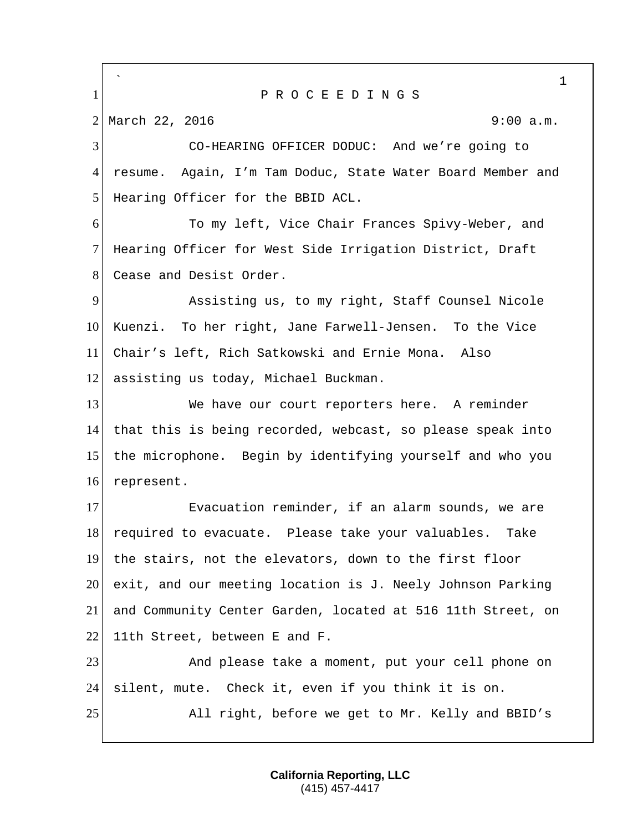` 1 1 P R O C E E D I N G S 2 March 22, 2016 9:00 a.m. 3 CO-HEARING OFFICER DODUC: And we're going to 4 resume. Again, I'm Tam Doduc, State Water Board Member and 5 Hearing Officer for the BBID ACL. 6 To my left, Vice Chair Frances Spivy-Weber, and 7 Hearing Officer for West Side Irrigation District, Draft 8 Cease and Desist Order. 9 Assisting us, to my right, Staff Counsel Nicole 10 Kuenzi. To her right, Jane Farwell-Jensen. To the Vice 11 Chair's left, Rich Satkowski and Ernie Mona. Also 12 assisting us today, Michael Buckman. 13 We have our court reporters here. A reminder 14 that this is being recorded, webcast, so please speak into 15 the microphone. Begin by identifying yourself and who you 16 represent. 17 Evacuation reminder, if an alarm sounds, we are 18 required to evacuate. Please take your valuables. Take 19 the stairs, not the elevators, down to the first floor 20 exit, and our meeting location is J. Neely Johnson Parking 21 and Community Center Garden, located at 516 11th Street, on  $22$  11th Street, between E and F. 23 And please take a moment, put your cell phone on 24 silent, mute. Check it, even if you think it is on. 25 All right, before we get to Mr. Kelly and BBID's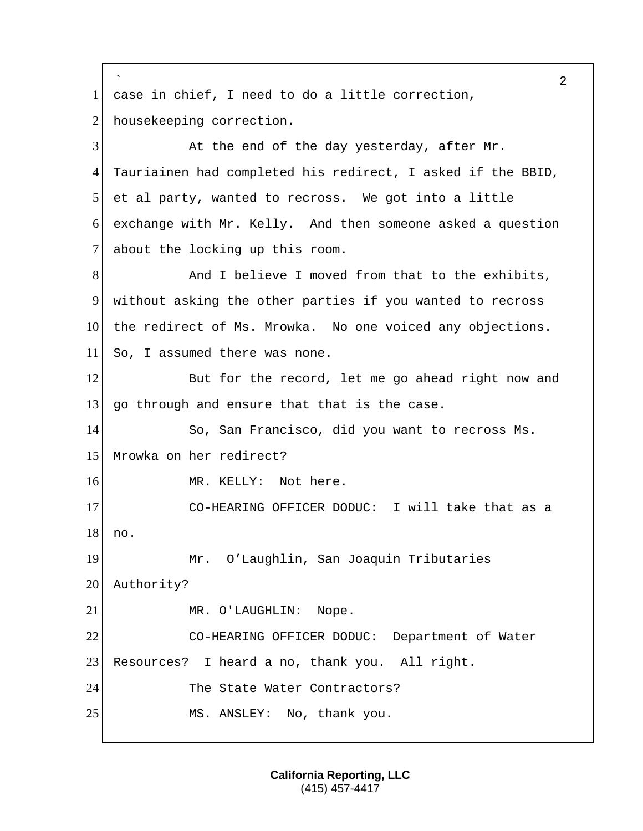```
`
                                                        2
1 case in chief, I need to do a little correction,
2 housekeeping correction.
3 At the end of the day yesterday, after Mr.
4 Tauriainen had completed his redirect, I asked if the BBID, 
5 et al party, wanted to recross. We got into a little
6 exchange with Mr. Kelly. And then someone asked a question 
7 about the locking up this room.
8 And I believe I moved from that to the exhibits,
9 without asking the other parties if you wanted to recross 
10 the redirect of Ms. Mrowka. No one voiced any objections.
11 So, I assumed there was none.
12 But for the record, let me go ahead right now and
13 go through and ensure that that is the case.
14 So, San Francisco, did you want to recross Ms. 
15 Mrowka on her redirect? 
16 MR. KELLY: Not here.
17 CO-HEARING OFFICER DODUC: I will take that as a
18 no.
19 Mr. O'Laughlin, San Joaquin Tributaries 
20 Authority?
21 MR. O'LAUGHLIN: Nope.
22 CO-HEARING OFFICER DODUC: Department of Water 
23 Resources? I heard a no, thank you. All right.
24 The State Water Contractors?
25 MS. ANSLEY: No, thank you.
```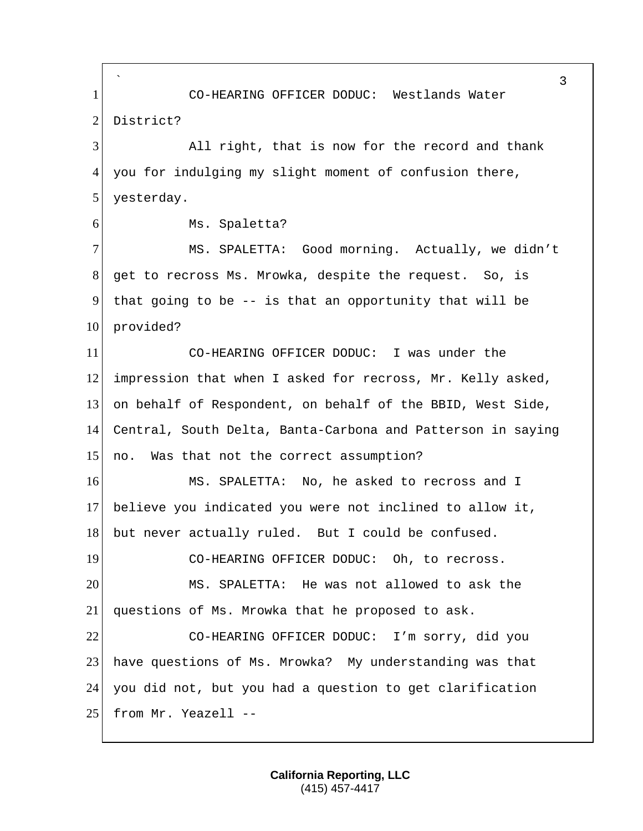` 3 1 CO-HEARING OFFICER DODUC: Westlands Water 2 District? 3 All right, that is now for the record and thank 4 you for indulging my slight moment of confusion there, 5 yesterday. 6 Ms. Spaletta? 7 MS. SPALETTA: Good morning. Actually, we didn't 8 get to recross Ms. Mrowka, despite the request. So, is 9 that going to be  $-$  is that an opportunity that will be 10 provided? 11 CO-HEARING OFFICER DODUC: I was under the 12 impression that when I asked for recross, Mr. Kelly asked, 13 on behalf of Respondent, on behalf of the BBID, West Side, 14 Central, South Delta, Banta-Carbona and Patterson in saying 15 no. Was that not the correct assumption? 16 MS. SPALETTA: No, he asked to recross and I 17 believe you indicated you were not inclined to allow it, 18 but never actually ruled. But I could be confused. 19 CO-HEARING OFFICER DODUC: Oh, to recross. 20 MS. SPALETTA: He was not allowed to ask the 21 questions of Ms. Mrowka that he proposed to ask. 22 CO-HEARING OFFICER DODUC: I'm sorry, did you 23 have questions of Ms. Mrowka? My understanding was that 24 you did not, but you had a question to get clarification 25 from Mr. Yeazell --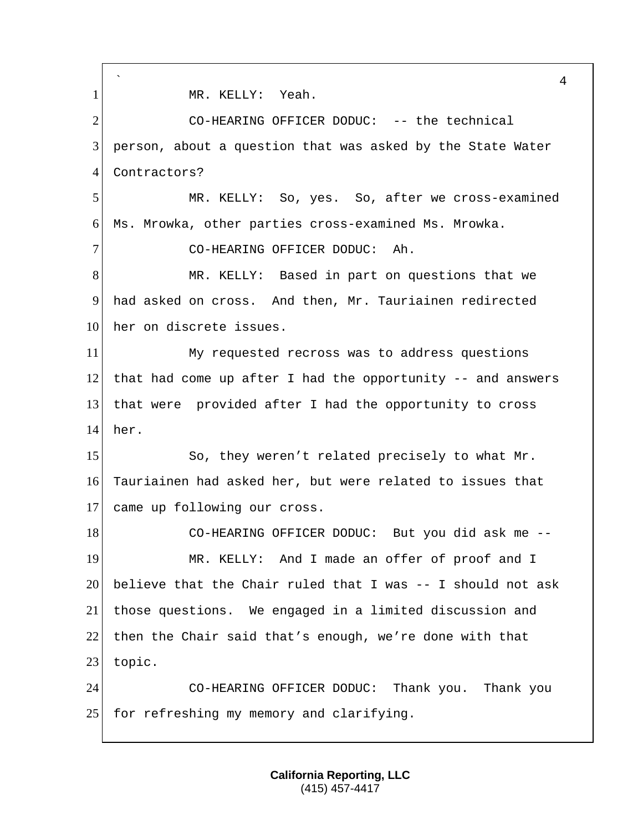` 4 1 MR. KELLY: Yeah. 2 CO-HEARING OFFICER DODUC: -- the technical 3 person, about a question that was asked by the State Water 4 Contractors? 5 MR. KELLY: So, yes. So, after we cross-examined 6 Ms. Mrowka, other parties cross-examined Ms. Mrowka. 7 CO-HEARING OFFICER DODUC: Ah. 8 MR. KELLY: Based in part on questions that we 9 had asked on cross. And then, Mr. Tauriainen redirected 10 her on discrete issues. 11 My requested recross was to address questions 12 that had come up after I had the opportunity  $-$ - and answers 13 that were provided after I had the opportunity to cross 14 her. 15 So, they weren't related precisely to what Mr. 16 Tauriainen had asked her, but were related to issues that 17 came up following our cross. 18 CO-HEARING OFFICER DODUC: But you did ask me --19 MR. KELLY: And I made an offer of proof and I 20 believe that the Chair ruled that I was  $-1$  should not ask 21 | those questions. We engaged in a limited discussion and 22 then the Chair said that's enough, we're done with that 23 topic. 24 CO-HEARING OFFICER DODUC: Thank you. Thank you 25 for refreshing my memory and clarifying.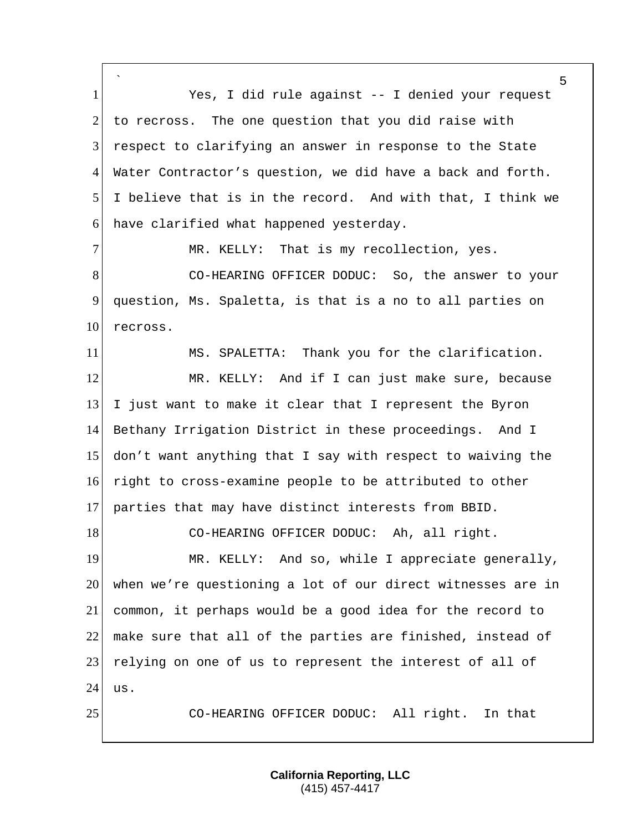` Yes, I did rule against -- I denied your request to recross. The one question that you did raise with respect to clarifying an answer in response to the State Water Contractor's question, we did have a back and forth. I believe that is in the record. And with that, I think we have clarified what happened yesterday. 7 MR. KELLY: That is my recollection, yes. 8 CO-HEARING OFFICER DODUC: So, the answer to your question, Ms. Spaletta, is that is a no to all parties on 10 recross. MS. SPALETTA: Thank you for the clarification. 12 MR. KELLY: And if I can just make sure, because I just want to make it clear that I represent the Byron Bethany Irrigation District in these proceedings. And I don't want anything that I say with respect to waiving the right to cross-examine people to be attributed to other 17 parties that may have distinct interests from BBID. 18 CO-HEARING OFFICER DODUC: Ah, all right. 19 MR. KELLY: And so, while I appreciate generally, when we're questioning a lot of our direct witnesses are in common, it perhaps would be a good idea for the record to make sure that all of the parties are finished, instead of 23 relying on one of us to represent the interest of all of us. CO-HEARING OFFICER DODUC: All right. In that

> **California Reporting, LLC** (415) 457-4417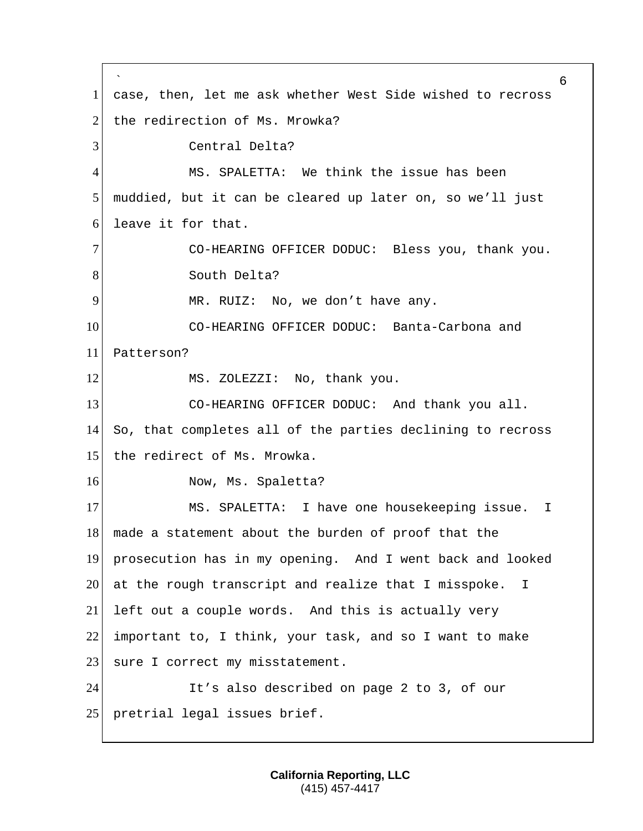` 6 1 case, then, let me ask whether West Side wished to recross 2 the redirection of Ms. Mrowka? 3 Central Delta? 4 MS. SPALETTA: We think the issue has been 5 muddied, but it can be cleared up later on, so we'll just 6 leave it for that. 7 CO-HEARING OFFICER DODUC: Bless you, thank you. 8 South Delta? 9 MR. RUIZ: No, we don't have any. 10 CO-HEARING OFFICER DODUC: Banta-Carbona and 11 Patterson? 12 MS. ZOLEZZI: No, thank you. 13 CO-HEARING OFFICER DODUC: And thank you all. 14 So, that completes all of the parties declining to recross 15 the redirect of Ms. Mrowka. 16 Now, Ms. Spaletta? 17 MS. SPALETTA: I have one housekeeping issue. I 18 made a statement about the burden of proof that the 19 prosecution has in my opening. And I went back and looked 20 at the rough transcript and realize that I misspoke. I 21 left out a couple words. And this is actually very 22 important to, I think, your task, and so I want to make 23 sure I correct my misstatement. 24 It's also described on page 2 to 3, of our 25 | pretrial legal issues brief.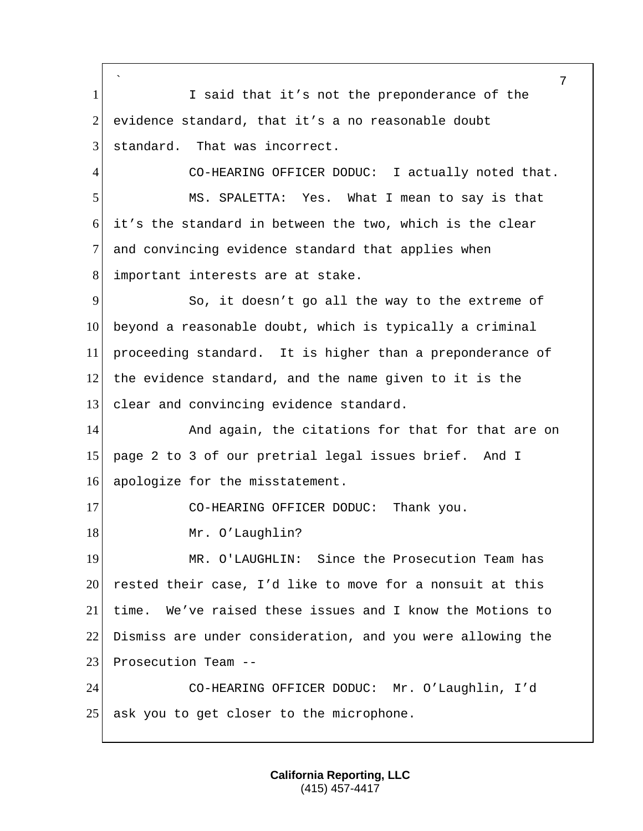` 7 1 I said that it's not the preponderance of the 2 evidence standard, that it's a no reasonable doubt 3 standard. That was incorrect. 4 CO-HEARING OFFICER DODUC: I actually noted that. 5 MS. SPALETTA: Yes. What I mean to say is that 6 it's the standard in between the two, which is the clear 7 and convincing evidence standard that applies when 8 important interests are at stake. 9 So, it doesn't go all the way to the extreme of 10 beyond a reasonable doubt, which is typically a criminal 11 proceeding standard. It is higher than a preponderance of 12 the evidence standard, and the name given to it is the 13 clear and convincing evidence standard. 14 And again, the citations for that for that are on 15 page 2 to 3 of our pretrial legal issues brief. And I 16 apologize for the misstatement. 17 CO-HEARING OFFICER DODUC: Thank you. 18 Mr. O'Laughlin? 19 | MR. O'LAUGHLIN: Since the Prosecution Team has 20 rested their case, I'd like to move for a nonsuit at this 21 time. We've raised these issues and I know the Motions to 22 Dismiss are under consideration, and you were allowing the 23 Prosecution Team --24 CO-HEARING OFFICER DODUC: Mr. O'Laughlin, I'd 25 ask you to get closer to the microphone.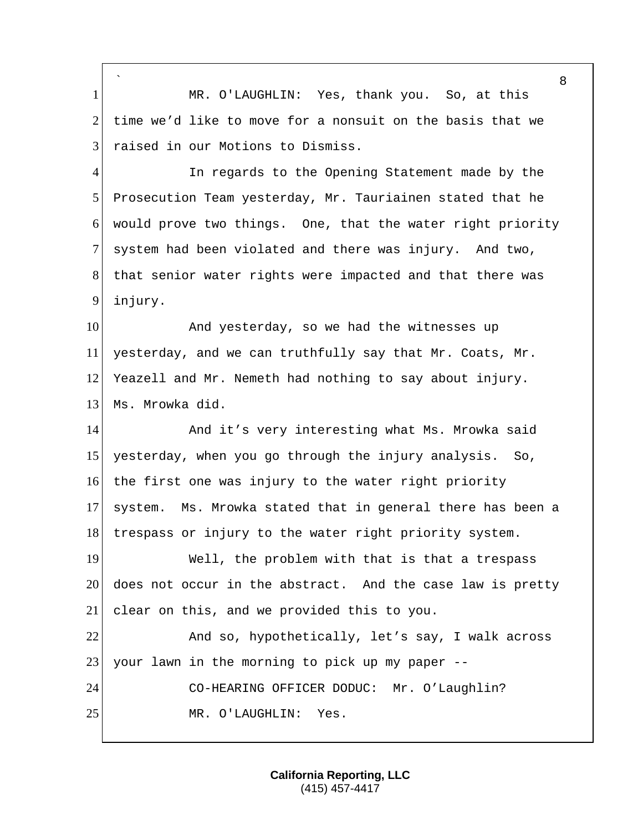` 8 1 MR. O'LAUGHLIN: Yes, thank you. So, at this 2 time we'd like to move for a nonsuit on the basis that we 3 raised in our Motions to Dismiss. 4 In regards to the Opening Statement made by the 5 Prosecution Team yesterday, Mr. Tauriainen stated that he 6 would prove two things. One, that the water right priority 7 system had been violated and there was injury. And two, 8 that senior water rights were impacted and that there was 9 injury. 10 And yesterday, so we had the witnesses up 11 yesterday, and we can truthfully say that Mr. Coats, Mr. 12 Yeazell and Mr. Nemeth had nothing to say about injury. 13 Ms. Mrowka did. 14 And it's very interesting what Ms. Mrowka said 15 yesterday, when you go through the injury analysis. So, 16 the first one was injury to the water right priority 17 system. Ms. Mrowka stated that in general there has been a 18 trespass or injury to the water right priority system. 19 Well, the problem with that is that a trespass 20 does not occur in the abstract. And the case law is pretty 21 clear on this, and we provided this to you. 22 And so, hypothetically, let's say, I walk across 23 your lawn in the morning to pick up my paper --24 CO-HEARING OFFICER DODUC: Mr. O'Laughlin? 25 MR. O'LAUGHLIN: Yes.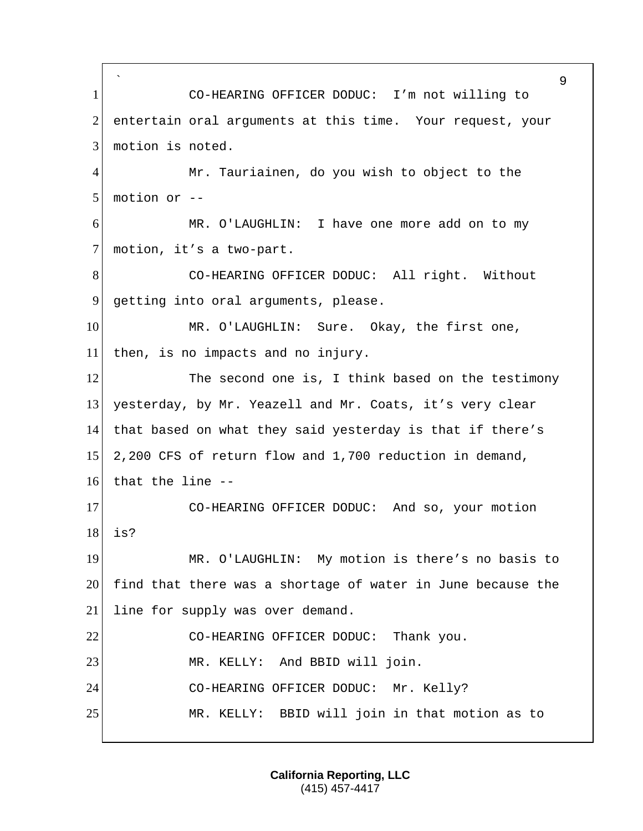` 9 1 CO-HEARING OFFICER DODUC: I'm not willing to 2 entertain oral arguments at this time. Your request, your 3 motion is noted. 4 Mr. Tauriainen, do you wish to object to the 5 motion or -- 6 MR. O'LAUGHLIN: I have one more add on to my 7 motion, it's a two-part. 8 CO-HEARING OFFICER DODUC: All right. Without 9 getting into oral arguments, please. 10 MR. O'LAUGHLIN: Sure. Okay, the first one, 11 then, is no impacts and no injury. 12 The second one is, I think based on the testimony 13 yesterday, by Mr. Yeazell and Mr. Coats, it's very clear 14 that based on what they said yesterday is that if there's 15 2,200 CFS of return flow and 1,700 reduction in demand, 16 that the line  $-$ -17 CO-HEARING OFFICER DODUC: And so, your motion 18 is? 19 MR. O'LAUGHLIN: My motion is there's no basis to 20 find that there was a shortage of water in June because the 21 line for supply was over demand. 22 CO-HEARING OFFICER DODUC: Thank you. 23 MR. KELLY: And BBID will join. 24 CO-HEARING OFFICER DODUC: Mr. Kelly? 25 MR. KELLY: BBID will join in that motion as to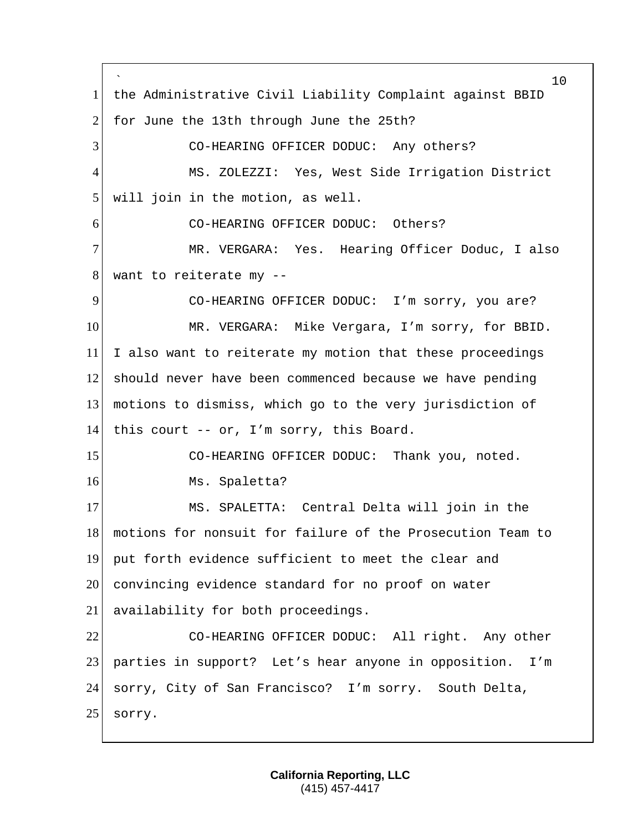` 10 1 the Administrative Civil Liability Complaint against BBID 2 for June the 13th through June the 25th? 3 CO-HEARING OFFICER DODUC: Any others? 4 MS. ZOLEZZI: Yes, West Side Irrigation District 5 will join in the motion, as well. 6 CO-HEARING OFFICER DODUC: Others? 7 MR. VERGARA: Yes. Hearing Officer Doduc, I also 8 want to reiterate my --9 CO-HEARING OFFICER DODUC: I'm sorry, you are? 10 MR. VERGARA: Mike Vergara, I'm sorry, for BBID. 11 I also want to reiterate my motion that these proceedings 12 should never have been commenced because we have pending 13 motions to dismiss, which go to the very jurisdiction of 14 this court -- or, I'm sorry, this Board. 15 CO-HEARING OFFICER DODUC: Thank you, noted. 16 Ms. Spaletta? 17 MS. SPALETTA: Central Delta will join in the 18 motions for nonsuit for failure of the Prosecution Team to 19 put forth evidence sufficient to meet the clear and 20 convincing evidence standard for no proof on water 21 availability for both proceedings. 22 CO-HEARING OFFICER DODUC: All right. Any other 23 parties in support? Let's hear anyone in opposition. I'm 24 sorry, City of San Francisco? I'm sorry. South Delta, 25 sorry.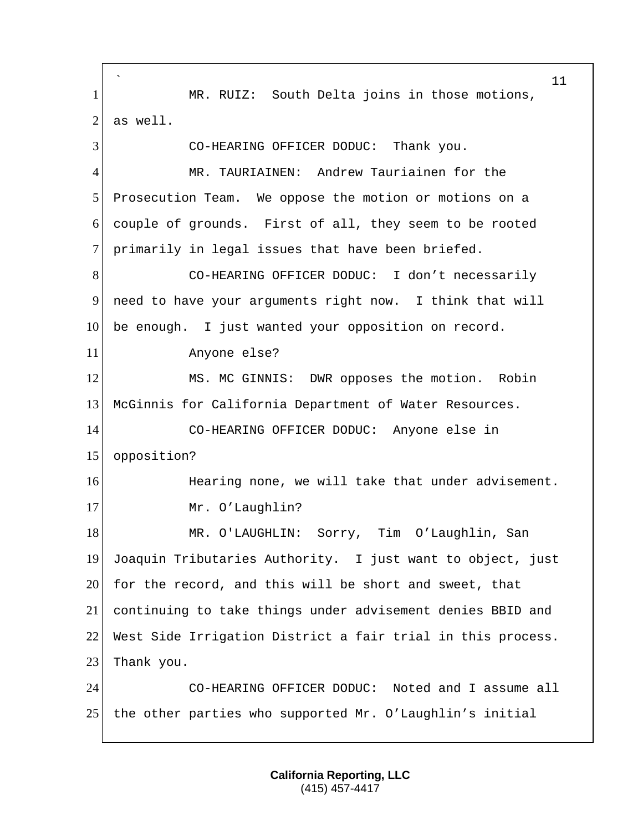` MR. RUIZ: South Delta joins in those motions, as well. CO-HEARING OFFICER DODUC: Thank you. MR. TAURIAINEN: Andrew Tauriainen for the Prosecution Team. We oppose the motion or motions on a couple of grounds. First of all, they seem to be rooted 7 primarily in legal issues that have been briefed. CO-HEARING OFFICER DODUC: I don't necessarily need to have your arguments right now. I think that will be enough. I just wanted your opposition on record. Anyone else? 12 MS. MC GINNIS: DWR opposes the motion. Robin McGinnis for California Department of Water Resources. CO-HEARING OFFICER DODUC: Anyone else in opposition? **Hearing none, we will take that under advisement.** 17 Mr. O'Laughlin? 18 MR. O'LAUGHLIN: Sorry, Tim O'Laughlin, San Joaquin Tributaries Authority. I just want to object, just for the record, and this will be short and sweet, that continuing to take things under advisement denies BBID and West Side Irrigation District a fair trial in this process. 23 Thank you. CO-HEARING OFFICER DODUC: Noted and I assume all the other parties who supported Mr. O'Laughlin's initial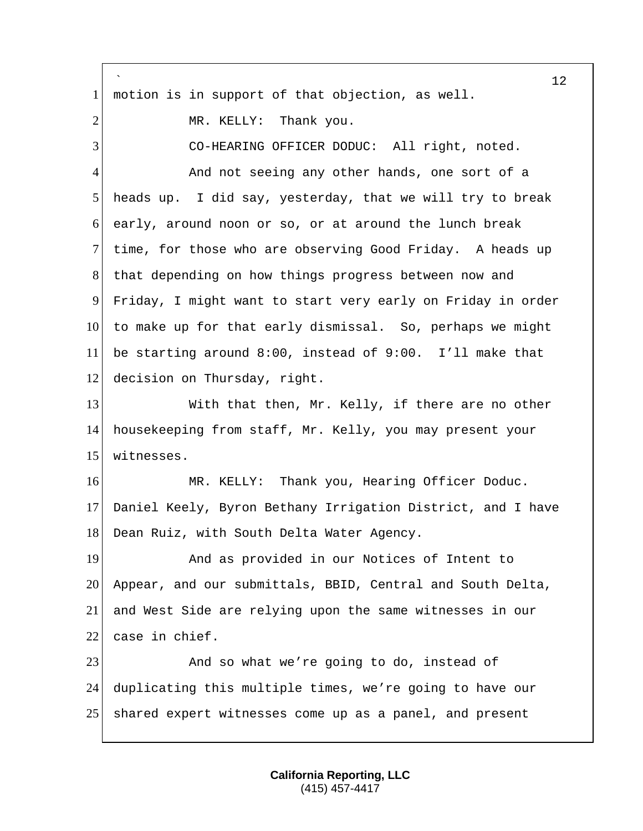|                | 12                                                          |
|----------------|-------------------------------------------------------------|
| $\mathbf{1}$   | motion is in support of that objection, as well.            |
| $\overline{2}$ | MR. KELLY: Thank you.                                       |
| 3              | CO-HEARING OFFICER DODUC: All right, noted.                 |
| $\overline{4}$ | And not seeing any other hands, one sort of a               |
| 5              | heads up. I did say, yesterday, that we will try to break   |
| 6              | early, around noon or so, or at around the lunch break      |
| $\tau$         | time, for those who are observing Good Friday. A heads up   |
| 8              | that depending on how things progress between now and       |
| 9              | Friday, I might want to start very early on Friday in order |
| 10             | to make up for that early dismissal. So, perhaps we might   |
| 11             | be starting around 8:00, instead of 9:00. I'll make that    |
| 12             | decision on Thursday, right.                                |
| 13             | With that then, Mr. Kelly, if there are no other            |
| 14             | housekeeping from staff, Mr. Kelly, you may present your    |
| 15             | witnesses.                                                  |
| 16             | MR. KELLY: Thank you, Hearing Officer Doduc.                |
| 17             | Daniel Keely, Byron Bethany Irrigation District, and I have |
| 18             | Dean Ruiz, with South Delta Water Agency.                   |
| 19             | And as provided in our Notices of Intent to                 |
| 20             | Appear, and our submittals, BBID, Central and South Delta,  |
| 21             | and West Side are relying upon the same witnesses in our    |
| 22             | case in chief.                                              |
| 23             | And so what we're going to do, instead of                   |
| 24             | duplicating this multiple times, we're going to have our    |
| 25             | shared expert witnesses come up as a panel, and present     |
|                |                                                             |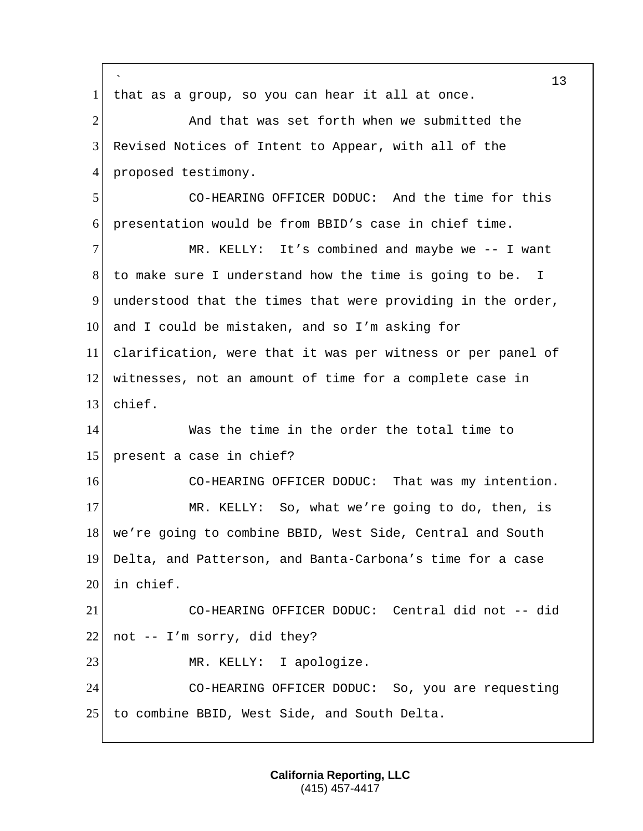` 13 1 that as a group, so you can hear it all at once. 2 And that was set forth when we submitted the 3 Revised Notices of Intent to Appear, with all of the 4 proposed testimony. 5 CO-HEARING OFFICER DODUC: And the time for this 6 presentation would be from BBID's case in chief time. 7 MR. KELLY: It's combined and maybe we -- I want 8 to make sure I understand how the time is going to be. I 9 understood that the times that were providing in the order, 10 and I could be mistaken, and so I'm asking for 11 clarification, were that it was per witness or per panel of 12 witnesses, not an amount of time for a complete case in 13 chief. 14 Was the time in the order the total time to 15 present a case in chief? 16 CO-HEARING OFFICER DODUC: That was my intention. 17 MR. KELLY: So, what we're going to do, then, is 18 | we're going to combine BBID, West Side, Central and South 19 Delta, and Patterson, and Banta-Carbona's time for a case 20 in chief. 21 CO-HEARING OFFICER DODUC: Central did not -- did 22 not  $-$  I'm sorry, did they? 23 MR. KELLY: I apologize. 24 CO-HEARING OFFICER DODUC: So, you are requesting 25 to combine BBID, West Side, and South Delta.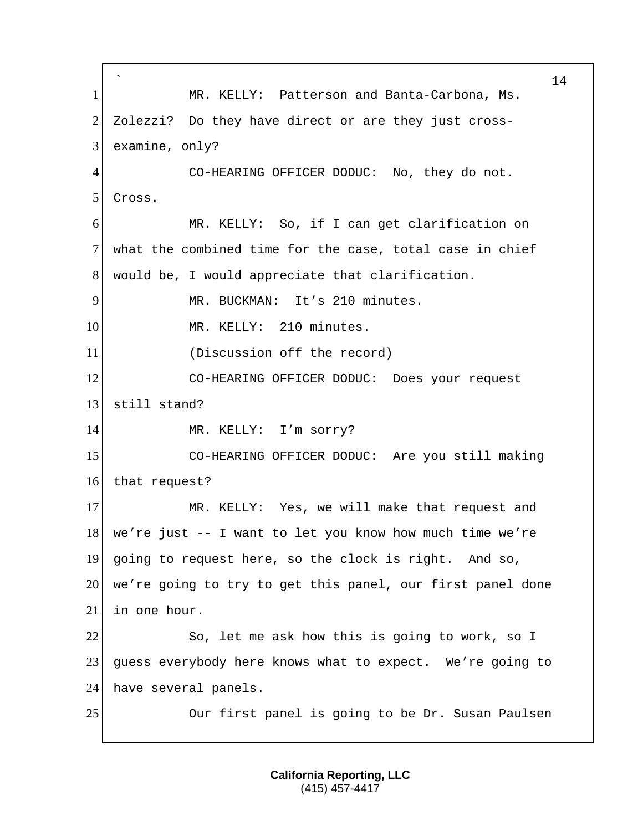` 14 1 MR. KELLY: Patterson and Banta-Carbona, Ms. 2 Zolezzi? Do they have direct or are they just cross-3 examine, only? 4 CO-HEARING OFFICER DODUC: No, they do not. 5 Cross. 6 MR. KELLY: So, if I can get clarification on 7 what the combined time for the case, total case in chief 8 would be, I would appreciate that clarification. 9 MR. BUCKMAN: It's 210 minutes. 10 MR. KELLY: 210 minutes. 11 (Discussion off the record) 12 CO-HEARING OFFICER DODUC: Does your request 13 still stand? 14 MR. KELLY: I'm sorry? 15 CO-HEARING OFFICER DODUC: Are you still making 16 that request? 17 MR. KELLY: Yes, we will make that request and 18 we're just -- I want to let you know how much time we're 19 going to request here, so the clock is right. And so, 20 we're going to try to get this panel, our first panel done 21 in one hour. 22 So, let me ask how this is going to work, so I 23 guess everybody here knows what to expect. We're going to 24 have several panels. 25 Our first panel is going to be Dr. Susan Paulsen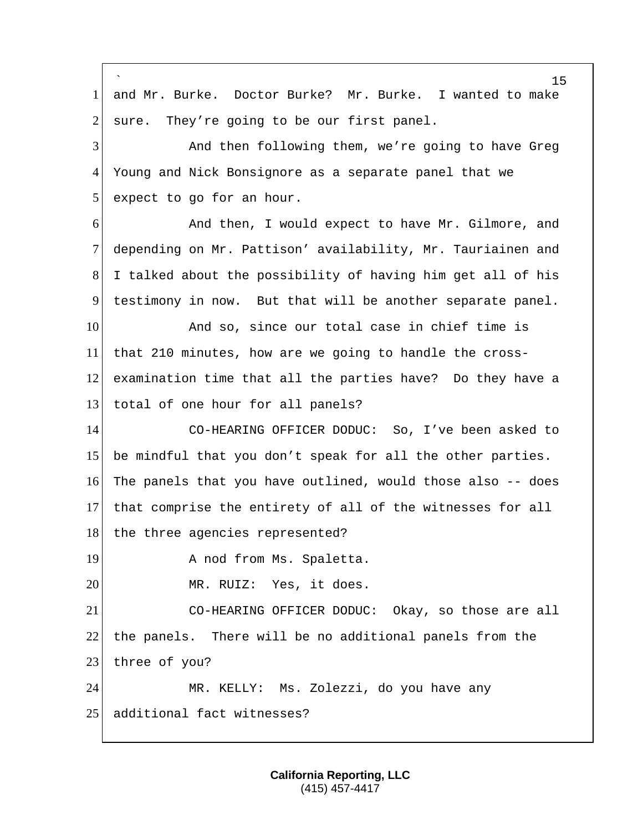|                | 15                                                          |
|----------------|-------------------------------------------------------------|
| $\mathbf{1}$   | and Mr. Burke. Doctor Burke? Mr. Burke. I wanted to make    |
| $\overline{2}$ | They're going to be our first panel.<br>sure.               |
| 3              | And then following them, we're going to have Greg           |
| 4              | Young and Nick Bonsignore as a separate panel that we       |
| 5              | expect to go for an hour.                                   |
| 6              | And then, I would expect to have Mr. Gilmore, and           |
| $\tau$         | depending on Mr. Pattison' availability, Mr. Tauriainen and |
| 8              | I talked about the possibility of having him get all of his |
| 9              | testimony in now. But that will be another separate panel.  |
| 10             | And so, since our total case in chief time is               |
| 11             | that 210 minutes, how are we going to handle the cross-     |
| 12             | examination time that all the parties have? Do they have a  |
| 13             | total of one hour for all panels?                           |
| 14             | CO-HEARING OFFICER DODUC: So, I've been asked to            |
| 15             | be mindful that you don't speak for all the other parties.  |
| 16             | The panels that you have outlined, would those also -- does |
| 17             | that comprise the entirety of all of the witnesses for all  |
| 18             | the three agencies represented?                             |
| 19             | A nod from Ms. Spaletta.                                    |
| 20             | MR. RUIZ: Yes, it does.                                     |
| 21             | CO-HEARING OFFICER DODUC: Okay, so those are all            |
| 22             | the panels. There will be no additional panels from the     |
| 23             | three of you?                                               |
| 24             | MR. KELLY: Ms. Zolezzi, do you have any                     |
| 25             | additional fact witnesses?                                  |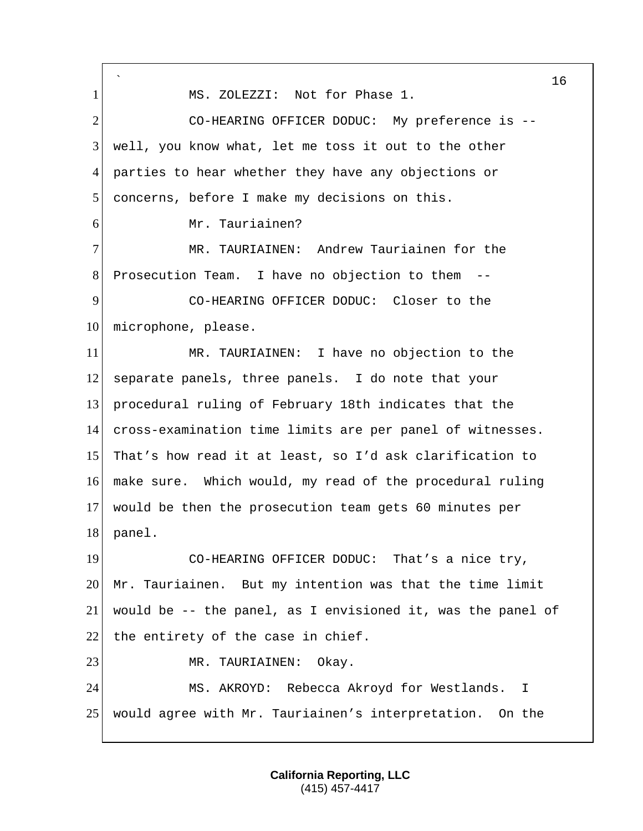` 1 | MS. ZOLEZZI: Not for Phase 1. 2 CO-HEARING OFFICER DODUC: My preference is -- well, you know what, let me toss it out to the other parties to hear whether they have any objections or concerns, before I make my decisions on this. Mr. Tauriainen? 7 MR. TAURIAINEN: Andrew Tauriainen for the Prosecution Team. I have no objection to them -- CO-HEARING OFFICER DODUC: Closer to the 10 microphone, please. MR. TAURIAINEN: I have no objection to the separate panels, three panels. I do note that your procedural ruling of February 18th indicates that the cross-examination time limits are per panel of witnesses. That's how read it at least, so I'd ask clarification to make sure. Which would, my read of the procedural ruling would be then the prosecution team gets 60 minutes per panel. 19 CO-HEARING OFFICER DODUC: That's a nice try, Mr. Tauriainen. But my intention was that the time limit would be -- the panel, as I envisioned it, was the panel of 22 the entirety of the case in chief. 23 MR. TAURIAINEN: Okay. MS. AKROYD: Rebecca Akroyd for Westlands. I would agree with Mr. Tauriainen's interpretation. On the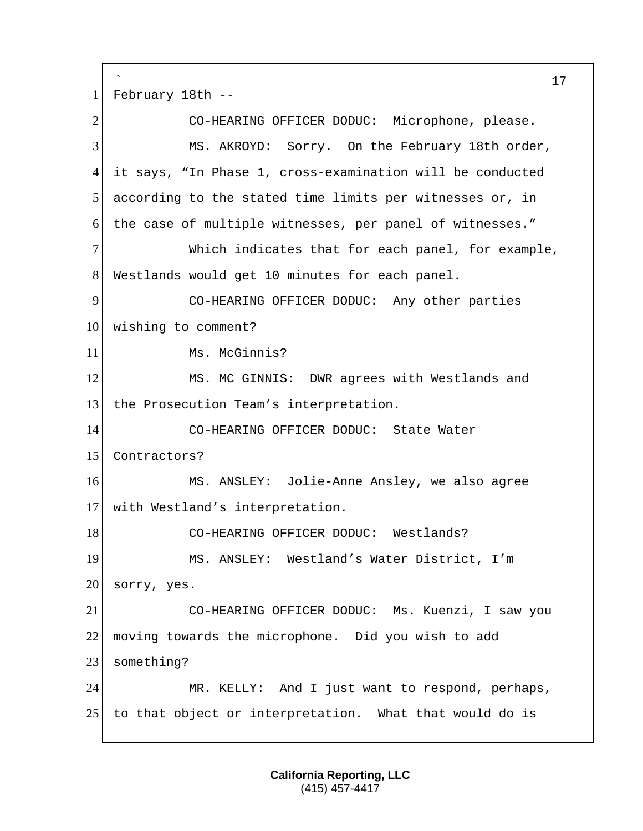` 1 February 18th --

2 CO-HEARING OFFICER DODUC: Microphone, please. 3 MS. AKROYD: Sorry. On the February 18th order, 4 it says, "In Phase 1, cross-examination will be conducted 5 according to the stated time limits per witnesses or, in 6 the case of multiple witnesses, per panel of witnesses." 7 Which indicates that for each panel, for example, 8 Westlands would get 10 minutes for each panel. 9 CO-HEARING OFFICER DODUC: Any other parties 10 wishing to comment? 11 Ms. McGinnis? 12 MS. MC GINNIS: DWR agrees with Westlands and 13 the Prosecution Team's interpretation. 14 CO-HEARING OFFICER DODUC: State Water 15 Contractors? 16 MS. ANSLEY: Jolie-Anne Ansley, we also agree 17 with Westland's interpretation. 18 CO-HEARING OFFICER DODUC: Westlands? 19 MS. ANSLEY: Westland's Water District, I'm  $20$  sorry, yes. 21 CO-HEARING OFFICER DODUC: Ms. Kuenzi, I saw you 22 moving towards the microphone. Did you wish to add 23 something? 24 MR. KELLY: And I just want to respond, perhaps, 25 to that object or interpretation. What that would do is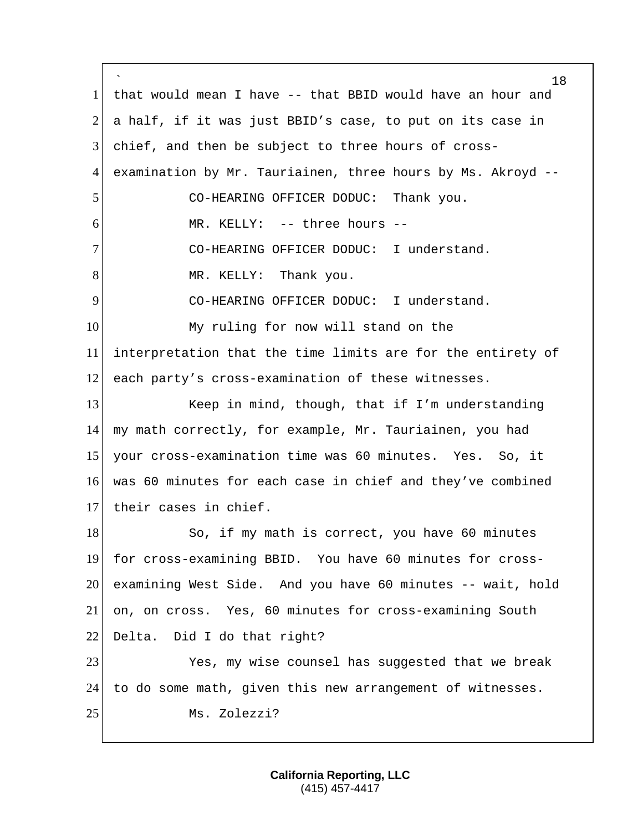` that would mean I have -- that BBID would have an hour and a half, if it was just BBID's case, to put on its case in chief, and then be subject to three hours of cross-4 examination by Mr. Tauriainen, three hours by Ms. Akroyd --5 CO-HEARING OFFICER DODUC: Thank you. MR. KELLY: -- three hours -- CO-HEARING OFFICER DODUC: I understand. 8 MR. KELLY: Thank you. CO-HEARING OFFICER DODUC: I understand. 10 My ruling for now will stand on the interpretation that the time limits are for the entirety of each party's cross-examination of these witnesses. Keep in mind, though, that if I'm understanding my math correctly, for example, Mr. Tauriainen, you had your cross-examination time was 60 minutes. Yes. So, it was 60 minutes for each case in chief and they've combined 17 their cases in chief. 18 So, if my math is correct, you have 60 minutes for cross-examining BBID. You have 60 minutes for cross- examining West Side. And you have 60 minutes -- wait, hold on, on cross. Yes, 60 minutes for cross-examining South 22 Delta. Did I do that right? Yes, my wise counsel has suggested that we break to do some math, given this new arrangement of witnesses. 25 Ms. Zolezzi?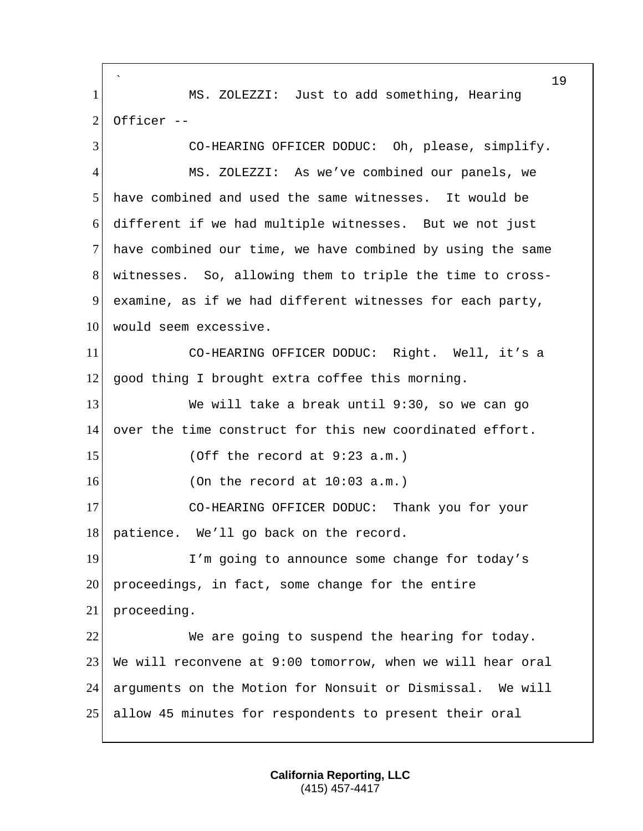` MS. ZOLEZZI: Just to add something, Hearing Officer -- CO-HEARING OFFICER DODUC: Oh, please, simplify. MS. ZOLEZZI: As we've combined our panels, we have combined and used the same witnesses. It would be different if we had multiple witnesses. But we not just have combined our time, we have combined by using the same witnesses. So, allowing them to triple the time to cross- examine, as if we had different witnesses for each party, 10 would seem excessive. CO-HEARING OFFICER DODUC: Right. Well, it's a 12 good thing I brought extra coffee this morning. We will take a break until 9:30, so we can go over the time construct for this new coordinated effort. (Off the record at 9:23 a.m.) (On the record at  $10:03$  a.m.) CO-HEARING OFFICER DODUC: Thank you for your 18 patience. We'll go back on the record. 19 I'm going to announce some change for today's proceedings, in fact, some change for the entire proceeding. We are going to suspend the hearing for today. We will reconvene at 9:00 tomorrow, when we will hear oral arguments on the Motion for Nonsuit or Dismissal. We will allow 45 minutes for respondents to present their oral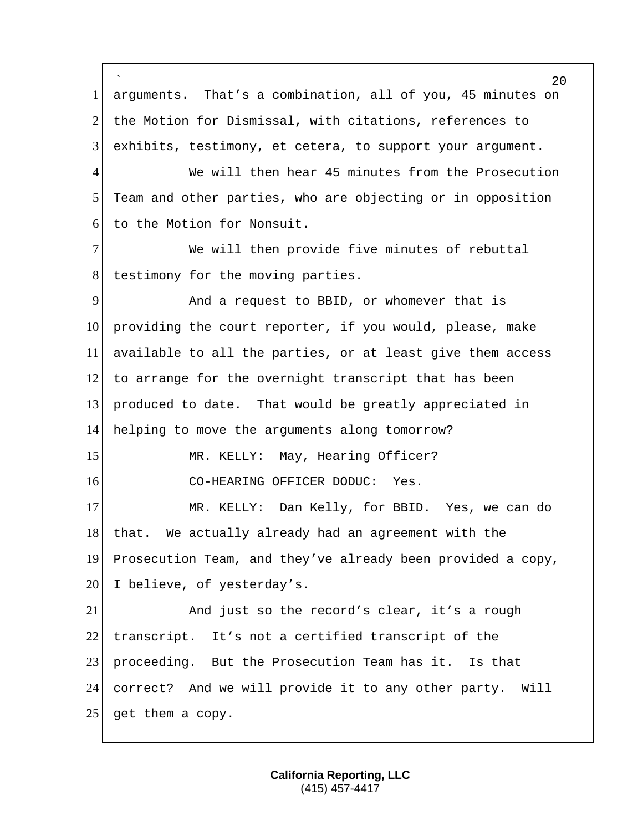`  $20^{\circ}$ 1 arguments. That's a combination, all of you, 45 minutes on 2 the Motion for Dismissal, with citations, references to 3 exhibits, testimony, et cetera, to support your argument. 4 We will then hear 45 minutes from the Prosecution 5 Team and other parties, who are objecting or in opposition 6 to the Motion for Nonsuit. 7 We will then provide five minutes of rebuttal 8 testimony for the moving parties. 9 And a request to BBID, or whomever that is 10 providing the court reporter, if you would, please, make 11 available to all the parties, or at least give them access 12 to arrange for the overnight transcript that has been 13 produced to date. That would be greatly appreciated in 14 helping to move the arguments along tomorrow? 15 MR. KELLY: May, Hearing Officer? 16 CO-HEARING OFFICER DODUC: Yes. 17 MR. KELLY: Dan Kelly, for BBID. Yes, we can do 18 that. We actually already had an agreement with the 19 Prosecution Team, and they've already been provided a copy, 20 I believe, of yesterday's. 21 And just so the record's clear, it's a rough 22 transcript. It's not a certified transcript of the 23 proceeding. But the Prosecution Team has it. Is that 24 correct? And we will provide it to any other party. Will 25 get them a copy.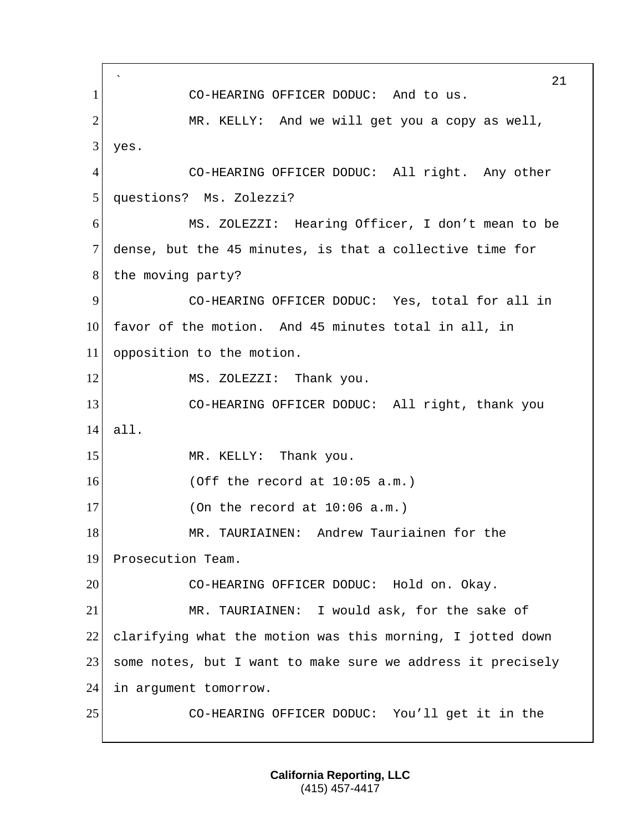` 21 1 CO-HEARING OFFICER DODUC: And to us. 2 MR. KELLY: And we will get you a copy as well,  $3$  yes. 4 CO-HEARING OFFICER DODUC: All right. Any other 5 | questions? Ms. Zolezzi? 6 MS. ZOLEZZI: Hearing Officer, I don't mean to be 7 dense, but the 45 minutes, is that a collective time for 8 the moving party? 9 CO-HEARING OFFICER DODUC: Yes, total for all in 10 favor of the motion. And 45 minutes total in all, in 11 opposition to the motion. 12 MS. ZOLEZZI: Thank you. 13 CO-HEARING OFFICER DODUC: All right, thank you 14 all. 15 MR. KELLY: Thank you.  $16$  (Off the record at  $10:05$  a.m.)  $17$  (On the record at  $10:06$  a.m.) 18 MR. TAURIAINEN: Andrew Tauriainen for the 19 Prosecution Team. 20 CO-HEARING OFFICER DODUC: Hold on. Okay. 21 MR. TAURIAINEN: I would ask, for the sake of 22 clarifying what the motion was this morning, I jotted down 23 some notes, but I want to make sure we address it precisely 24 in argument tomorrow. 25 CO-HEARING OFFICER DODUC: You'll get it in the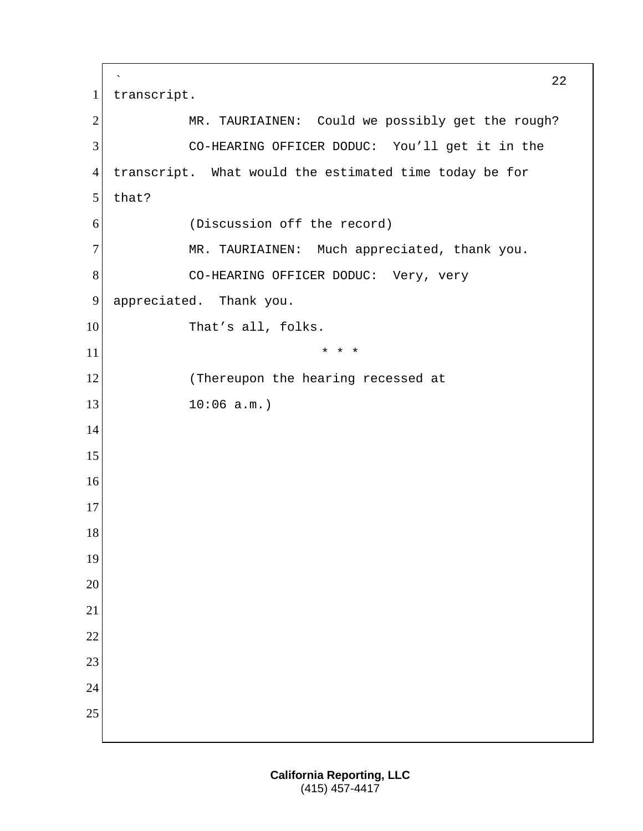```
`
                                                         22
1 transcript.
2 MR. TAURIAINEN: Could we possibly get the rough?
3 CO-HEARING OFFICER DODUC: You'll get it in the
4 transcript. What would the estimated time today be for 
5 that?
6 (Discussion off the record)
7 MR. TAURIAINEN: Much appreciated, thank you.
8 CO-HEARING OFFICER DODUC: Very, very
9 appreciated. Thank you.
10 That's all, folks.
\begin{array}{ccc} \hline \text{11} & \text{12} \\ \hline \end{array}12 (Thereupon the hearing recessed at
13 10:06 a.m.)
14
15
16
17
18
19
20
21
22
23
24
25
```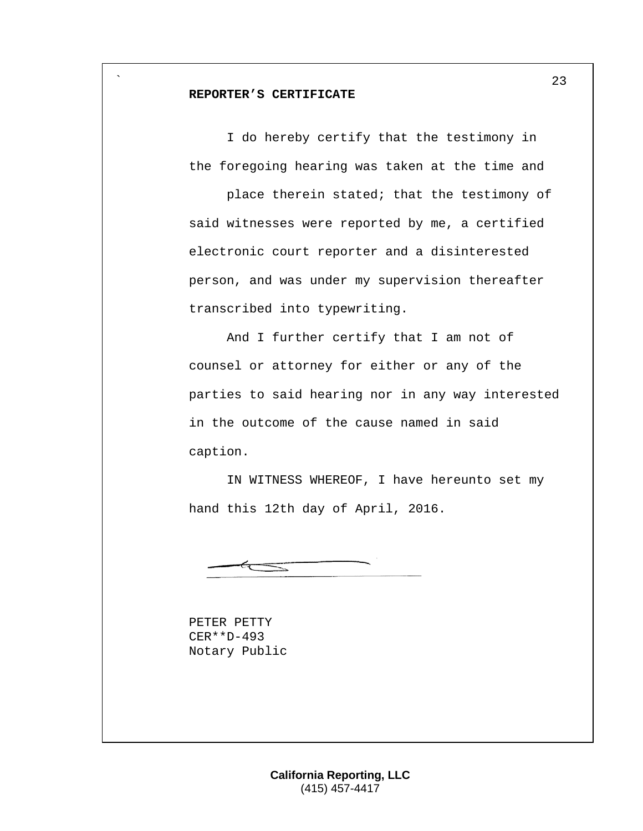#### **REPORTER'S CERTIFICATE**

`

I do hereby certify that the testimony in the foregoing hearing was taken at the time and

place therein stated; that the testimony of said witnesses were reported by me, a certified electronic court reporter and a disinterested person, and was under my supervision thereafter transcribed into typewriting.

And I further certify that I am not of counsel or attorney for either or any of the parties to said hearing nor in any way interested in the outcome of the cause named in said caption.

IN WITNESS WHEREOF, I have hereunto set my hand this 12th day of April, 2016.

PETER PETTY CER\*\*D-493 Notary Public